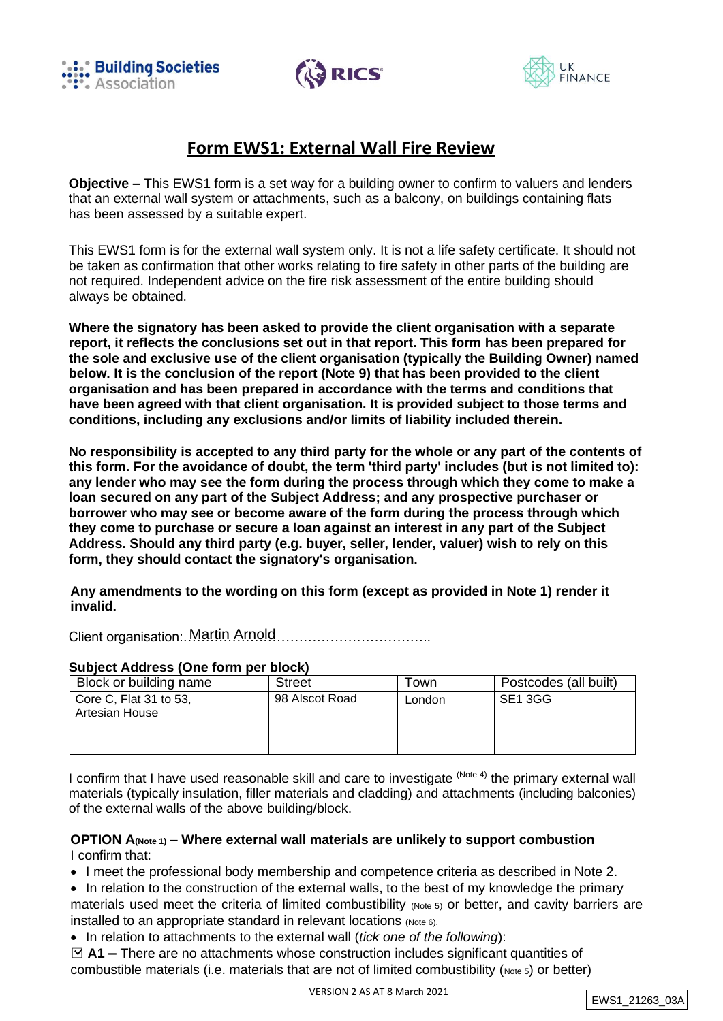





# **Form EWS1: External Wall Fire Review**

**Objective –** This EWS1 form is a set way for a building owner to confirm to valuers and lenders that an external wall system or attachments, such as a balcony, on buildings containing flats has been assessed by a suitable expert.

This EWS1 form is for the external wall system only. It is not a life safety certificate. It should not be taken as confirmation that other works relating to fire safety in other parts of the building are not required. Independent advice on the fire risk assessment of the entire building should always be obtained.

**Where the signatory has been asked to provide the client organisation with a separate report, it reflects the conclusions set out in that report. This form has been prepared for the sole and exclusive use of the client organisation (typically the Building Owner) named below. It is the conclusion of the report (Note 9) that has been provided to the client organisation and has been prepared in accordance with the terms and conditions that have been agreed with that client organisation. It is provided subject to those terms and conditions, including any exclusions and/or limits of liability included therein.**

**No responsibility is accepted to any third party for the whole or any part of the contents of this form. For the avoidance of doubt, the term 'third party' includes (but is not limited to): any lender who may see the form during the process through which they come to make a loan secured on any part of the Subject Address; and any prospective purchaser or borrower who may see or become aware of the form during the process through which they come to purchase or secure a loan against an interest in any part of the Subject Address. Should any third party (e.g. buyer, seller, lender, valuer) wish to rely on this form, they should contact the signatory's organisation.**

**Any amendments to the wording on this form (except as provided in Note 1) render it invalid.**

Client organisation:……………………………………………….. Martin Arnold

#### **Subject Address (One form per block)**

| Block or building name                        | <b>Street</b>  | Town   | Postcodes (all built) |
|-----------------------------------------------|----------------|--------|-----------------------|
| Core C, Flat $31$ to $53$ ,<br>Artesian House | 98 Alscot Road | London | SE1 3GG               |

I confirm that I have used reasonable skill and care to investigate <sup>(Note 4)</sup> the primary external wall materials (typically insulation, filler materials and cladding) and attachments (including balconies) of the external walls of the above building/block.

### **OPTION A(Note 1) – Where external wall materials are unlikely to support combustion** I confirm that:

• I meet the professional body membership and competence criteria as described in Note 2.

- In relation to the construction of the external walls, to the best of my knowledge the primary materials used meet the criteria of limited combustibility (Note 5) or better, and cavity barriers are installed to an appropriate standard in relevant locations (Note 6).
- In relation to attachments to the external wall (*tick one of the following*):

□ **A1 –** There are no attachments whose construction includes significant quantities of combustible materials (i.e. materials that are not of limited combustibility (Note 5) or better)

```
EWS1_21263_03A
```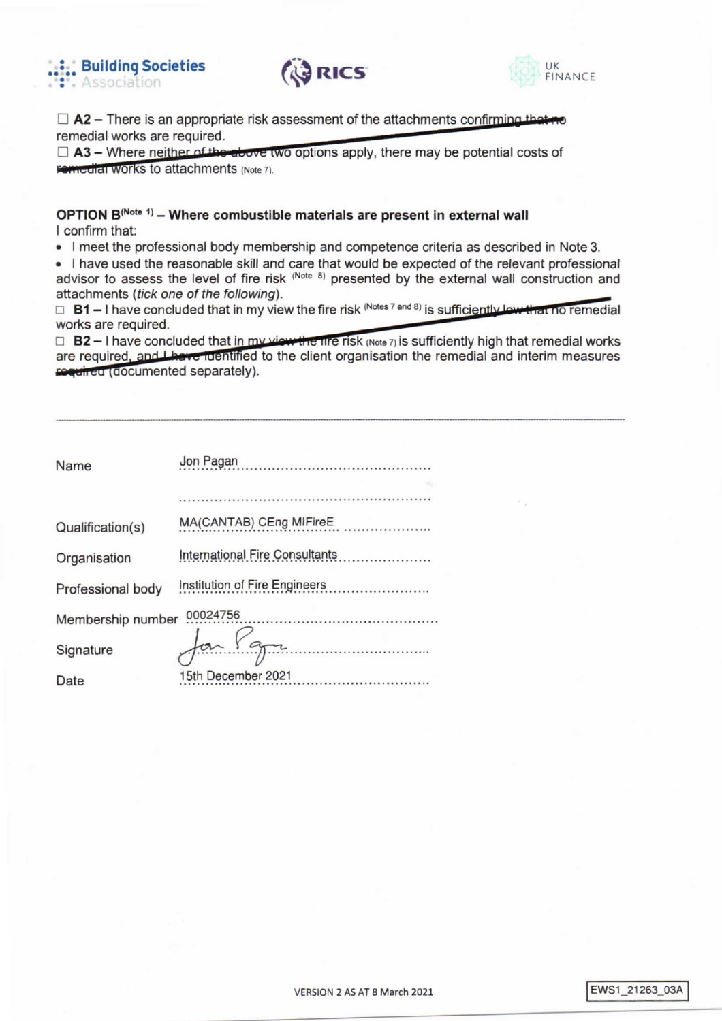





 $\Box$  A2 – There is an appropriate risk assessment of the attachments confirming that remedial works are required.

 $\Box$  A3 – Where neither of the above two options apply, there may be potential costs of **Femedial Works to attachments (Note 7).** 

# OPTION B(Note 1) - Where combustible materials are present in external wall I confirm that:

• I meet the professional body membership and competence criteria as described in Note 3.

. I have used the reasonable skill and care that would be expected of the relevant professional advisor to assess the level of fire risk (Note 8) presented by the external wall construction and attachments (tick one of the following).

 $\Box$  B1 – I have concluded that in my view the fire risk (Notes 7 and 8) is sufficiently low that no remedial works are required.

 $\Box$  B2 – I have concluded that in my view the fire risk (Note 7) is sufficiently high that remedial works are required, and these identified to the client organisation the remedial and interim measures regulied (documented separately).

| Name              | Jon Pagan<br>.                        |  |  |
|-------------------|---------------------------------------|--|--|
|                   |                                       |  |  |
|                   |                                       |  |  |
| Qualification(s)  | MA(CANTAB) CEng MIFireE<br>.          |  |  |
| Organisation      | <b>International Fire Consultants</b> |  |  |
| Professional body | Institution of Fire Engineers         |  |  |
| Membership number | 00024756                              |  |  |
| Signature         |                                       |  |  |
| Date              | 15th December 2021                    |  |  |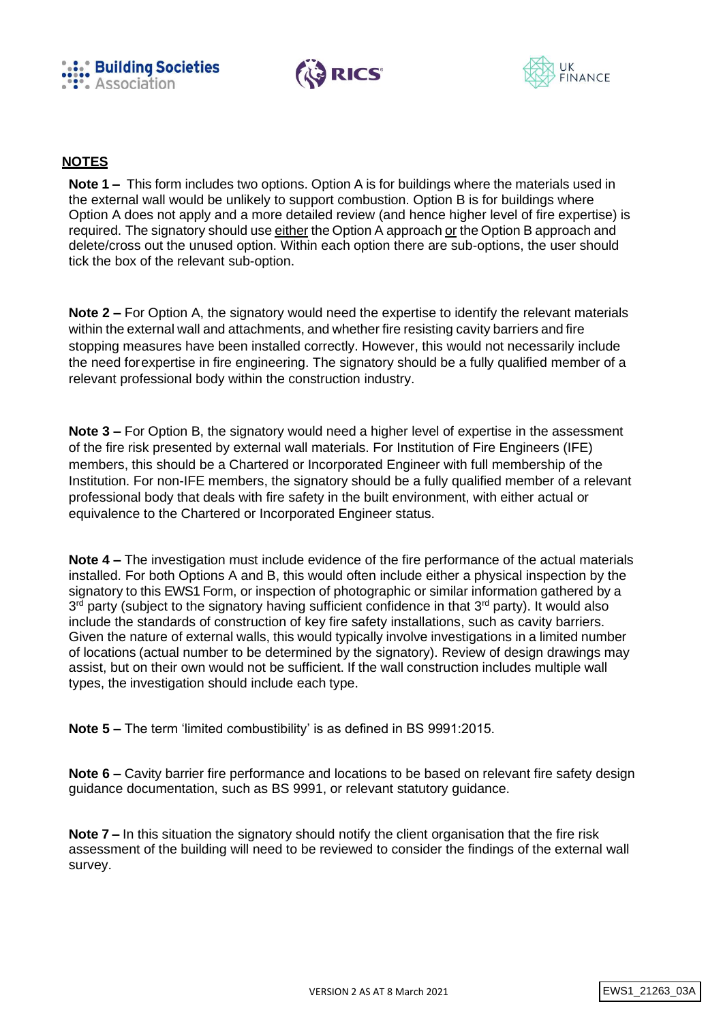





# **NOTES**

**Note 1 –** This form includes two options. Option A is for buildings where the materials used in the external wall would be unlikely to support combustion. Option B is for buildings where Option A does not apply and a more detailed review (and hence higher level of fire expertise) is required. The signatory should use either the Option A approach or the Option B approach and delete/cross out the unused option. Within each option there are sub-options, the user should tick the box of the relevant sub-option.

**Note 2 –** For Option A, the signatory would need the expertise to identify the relevant materials within the external wall and attachments, and whether fire resisting cavity barriers and fire stopping measures have been installed correctly. However, this would not necessarily include the need forexpertise in fire engineering. The signatory should be a fully qualified member of a relevant professional body within the construction industry.

**Note 3 –** For Option B, the signatory would need a higher level of expertise in the assessment of the fire risk presented by external wall materials. For Institution of Fire Engineers (IFE) members, this should be a Chartered or Incorporated Engineer with full membership of the Institution. For non-IFE members, the signatory should be a fully qualified member of a relevant professional body that deals with fire safety in the built environment, with either actual or equivalence to the Chartered or Incorporated Engineer status.

**Note 4 –** The investigation must include evidence of the fire performance of the actual materials installed. For both Options A and B, this would often include either a physical inspection by the signatory to this EWS1 Form, or inspection of photographic or similar information gathered by a 3<sup>rd</sup> party (subject to the signatory having sufficient confidence in that 3<sup>rd</sup> party). It would also include the standards of construction of key fire safety installations, such as cavity barriers. Given the nature of external walls, this would typically involve investigations in a limited number of locations (actual number to be determined by the signatory). Review of design drawings may assist, but on their own would not be sufficient. If the wall construction includes multiple wall types, the investigation should include each type.

**Note 5 –** The term 'limited combustibility' is as defined in BS 9991:2015.

**Note 6 –** Cavity barrier fire performance and locations to be based on relevant fire safety design guidance documentation, such as BS 9991, or relevant statutory guidance.

**Note 7 –** In this situation the signatory should notify the client organisation that the fire risk assessment of the building will need to be reviewed to consider the findings of the external wall survey.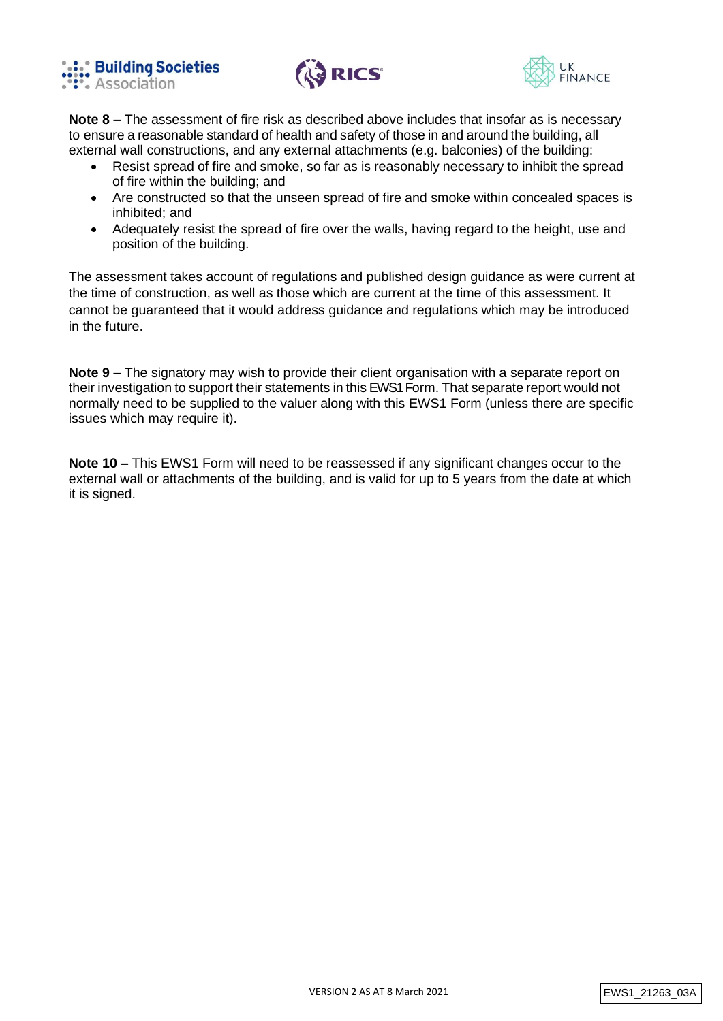





**Note 8 –** The assessment of fire risk as described above includes that insofar as is necessary to ensure a reasonable standard of health and safety of those in and around the building, all external wall constructions, and any external attachments (e.g. balconies) of the building:

- Resist spread of fire and smoke, so far as is reasonably necessary to inhibit the spread of fire within the building; and
- Are constructed so that the unseen spread of fire and smoke within concealed spaces is inhibited; and
- Adequately resist the spread of fire over the walls, having regard to the height, use and position of the building.

The assessment takes account of regulations and published design guidance as were current at the time of construction, as well as those which are current at the time of this assessment. It cannot be guaranteed that it would address guidance and regulations which may be introduced in the future.

**Note 9 –** The signatory may wish to provide their client organisation with a separate report on their investigation to support their statements in this EWS1 Form. That separate report would not normally need to be supplied to the valuer along with this EWS1 Form (unless there are specific issues which may require it).

**Note 10 –** This EWS1 Form will need to be reassessed if any significant changes occur to the external wall or attachments of the building, and is valid for up to 5 years from the date at which it is signed.